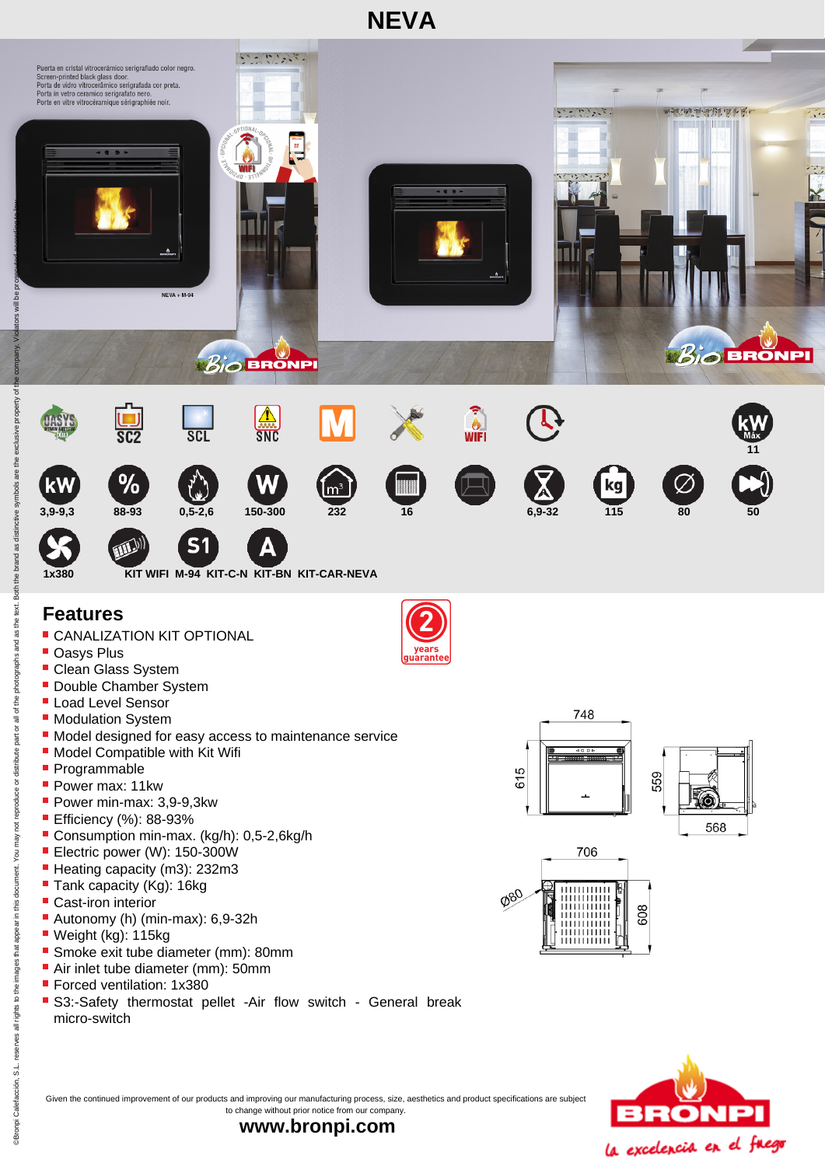

- **Oasys Plus**
- **Clean Glass System**
- Double Chamber System
- **Load Level Sensor**
- **Modulation System**
- **Model designed for easy access to maintenance service**
- **Model Compatible with Kit Wifi**
- **Programmable**
- Power max: 11kw
- Power min-max: 3,9-9,3kw
- **Efficiency (%): 88-93%**
- Consumption min-max. (kg/h): 0,5-2,6kg/h
- **Electric power (W): 150-300W**
- Heating capacity (m3): 232m3
- Tank capacity (Kg): 16kg
- Cast-iron interior
- Autonomy (h) (min-max): 6,9-32h
- Weight (kg): 115kg
- Smoke exit tube diameter (mm): 80mm
- Air inlet tube diameter (mm): 50mm
- **Forced ventilation: 1x380**
- S3:-Safety thermostat pellet -Air flow switch General break micro-switch









Given the continued improvement of our products and improving our manufacturing process, size, aesthetics and product specifications are subject to change without prior notice from our company.

**www.bronpi.com**